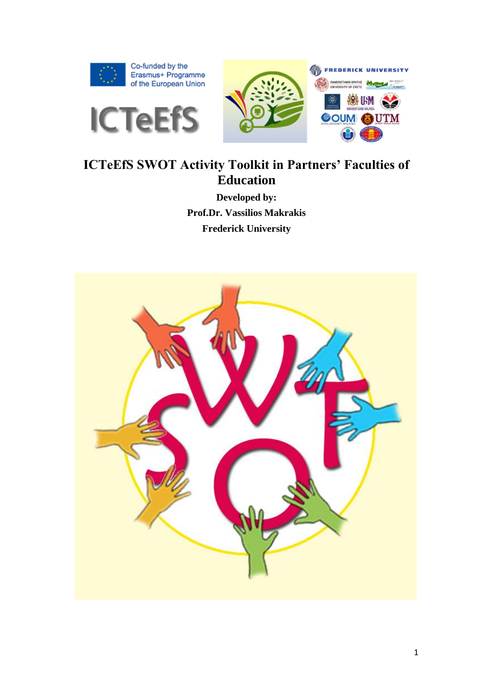





## **ICTeEfS SWOT Activity Toolkit in Partners' Faculties of Education**

**Developed by: Prof.Dr. Vassilios Makrakis Frederick University**

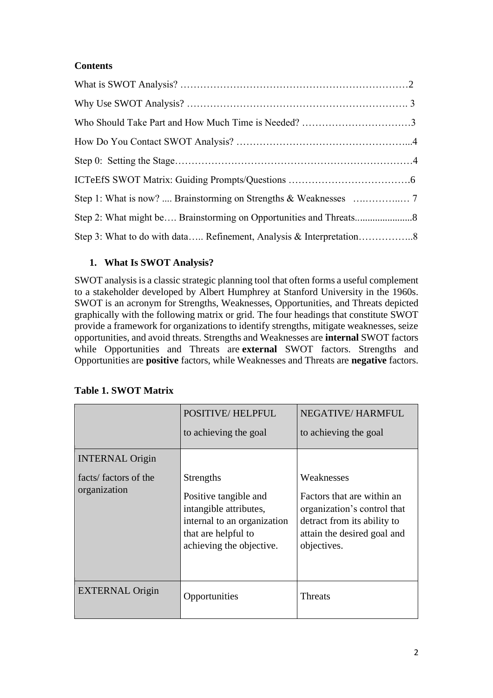#### **Contents**

## **1. What Is SWOT Analysis?**

SWOT analysis is a classic strategic planning tool that often forms a useful complement to a stakeholder developed by Albert Humphrey at Stanford University in the 1960s. SWOT is an acronym for Strengths, Weaknesses, Opportunities, and Threats depicted graphically with the following matrix or grid. The four headings that constitute SWOT provide a framework for organizations to identify strengths, mitigate weaknesses, seize opportunities, and avoid threats. Strengths and Weaknesses are **internal** SWOT factors while Opportunities and Threats are **external** SWOT factors. Strengths and Opportunities are **positive** factors, while Weaknesses and Threats are **negative** factors.

|                                                                | <b>POSITIVE/HELPFUL</b><br>to achieving the goal                                                                                                      | <b>NEGATIVE/HARMFUL</b><br>to achieving the goal                                                                                                     |
|----------------------------------------------------------------|-------------------------------------------------------------------------------------------------------------------------------------------------------|------------------------------------------------------------------------------------------------------------------------------------------------------|
| <b>INTERNAL Origin</b><br>facts/factors of the<br>organization | <b>Strengths</b><br>Positive tangible and<br>intangible attributes,<br>internal to an organization<br>that are helpful to<br>achieving the objective. | Weaknesses<br>Factors that are within an<br>organization's control that<br>detract from its ability to<br>attain the desired goal and<br>objectives. |
| <b>EXTERNAL Origin</b>                                         | Opportunities                                                                                                                                         | <b>Threats</b>                                                                                                                                       |

### **Table 1. SWOT Matrix**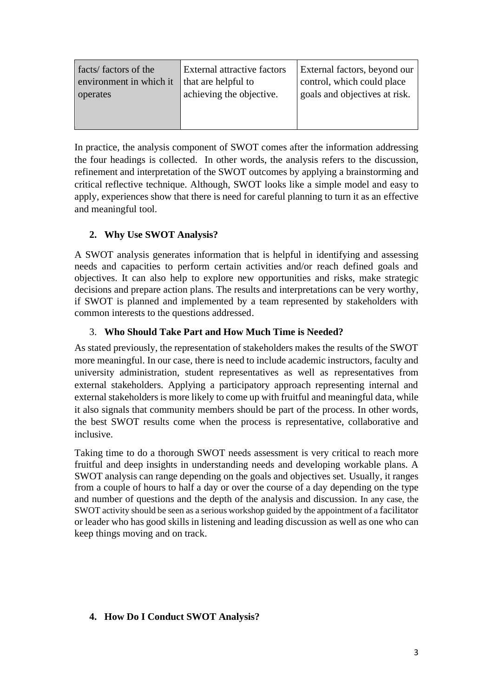| facts/factors of the    | External attractive factors | <b>External factors, beyond our</b> |
|-------------------------|-----------------------------|-------------------------------------|
| environment in which it | that are helpful to         | control, which could place          |
| operates                | achieving the objective.    | goals and objectives at risk.       |
|                         |                             |                                     |

In practice, the analysis component of SWOT comes after the information addressing the four headings is collected. In other words, the analysis refers to the discussion, refinement and interpretation of the SWOT outcomes by applying a brainstorming and critical reflective technique. Although, SWOT looks like a simple model and easy to apply, experiences show that there is need for careful planning to turn it as an effective and meaningful tool.

## **2. Why Use SWOT Analysis?**

A SWOT analysis generates information that is helpful in identifying and assessing needs and capacities to perform certain activities and/or reach defined goals and objectives. It can also help to explore new opportunities and risks, make strategic decisions and prepare action plans. The results and interpretations can be very worthy, if SWOT is planned and implemented by a team represented by stakeholders with common interests to the questions addressed.

#### 3. **Who Should Take Part and How Much Time is Needed?**

As stated previously, the representation of stakeholders makes the results of the SWOT more meaningful. In our case, there is need to include academic instructors, faculty and university administration, student representatives as well as representatives from external stakeholders. Applying a participatory approach representing internal and external stakeholders is more likely to come up with fruitful and meaningful data, while it also signals that community members should be part of the process. In other words, the best SWOT results come when the process is representative, collaborative and inclusive.

Taking time to do a thorough SWOT needs assessment is very critical to reach more fruitful and deep insights in understanding needs and developing workable plans. A SWOT analysis can range depending on the goals and objectives set. Usually, it ranges from a couple of hours to half a day or over the course of a day depending on the type and number of questions and the depth of the analysis and discussion. In any case, the SWOT activity should be seen as a serious workshop guided by the appointment of a facilitator or leader who has good skills in listening and leading discussion as well as one who can keep things moving and on track.

#### **4. How Do I Conduct SWOT Analysis?**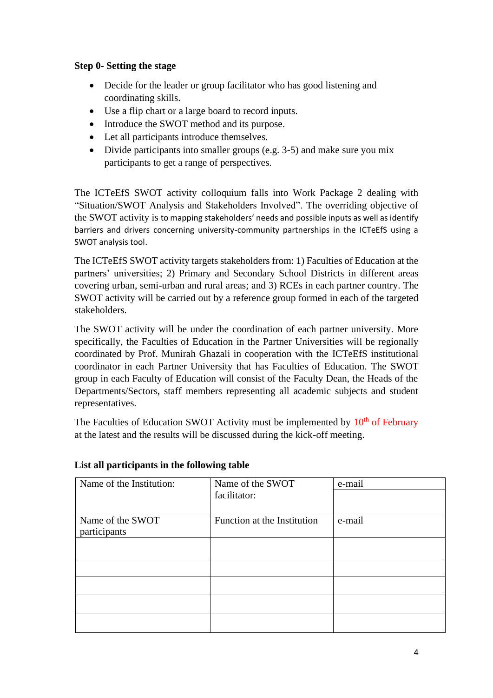#### **Step 0- Setting the stage**

- Decide for the leader or group facilitator who has good listening and coordinating skills.
- Use a flip chart or a large board to record inputs.
- Introduce the SWOT method and its purpose.
- Let all participants introduce themselves.
- Divide participants into smaller groups (e.g. 3-5) and make sure you mix participants to get a range of perspectives.

The ICTeEfS SWOT activity colloquium falls into Work Package 2 dealing with "Situation/SWOT Analysis and Stakeholders Involved". The overriding objective of the SWOT activity is to mapping stakeholders' needs and possible inputs as well as identify barriers and drivers concerning university-community partnerships in the ICTeEfS using a SWOT analysis tool.

The ICTeEfS SWOT activity targets stakeholders from: 1) Faculties of Education at the partners' universities; 2) Primary and Secondary School Districts in different areas covering urban, semi-urban and rural areas; and 3) RCEs in each partner country. The SWOT activity will be carried out by a reference group formed in each of the targeted stakeholders.

The SWOT activity will be under the coordination of each partner university. More specifically, the Faculties of Education in the Partner Universities will be regionally coordinated by Prof. Munirah Ghazali in cooperation with the ICTeEfS institutional coordinator in each Partner University that has Faculties of Education. The SWOT group in each Faculty of Education will consist of the Faculty Dean, the Heads of the Departments/Sectors, staff members representing all academic subjects and student representatives.

The Faculties of Education SWOT Activity must be implemented by  $10<sup>th</sup>$  of February at the latest and the results will be discussed during the kick-off meeting.

| Name of the Institution: | Name of the SWOT            | e-mail |
|--------------------------|-----------------------------|--------|
|                          | facilitator:                |        |
| Name of the SWOT         | Function at the Institution | e-mail |
| participants             |                             |        |
|                          |                             |        |
|                          |                             |        |
|                          |                             |        |
|                          |                             |        |
|                          |                             |        |
|                          |                             |        |
|                          |                             |        |

#### **List all participants in the following table**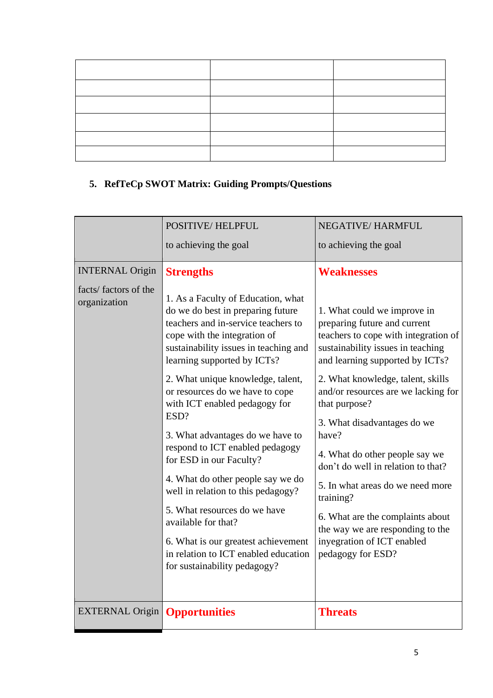# **5. RefTeCp SWOT Matrix: Guiding Prompts/Questions**

|                                      | <b>POSITIVE/HELPFUL</b>                                                                                                                                                                                                                                                                                                                                 | <b>NEGATIVE/HARMFUL</b>                                                                                                                                                                                                                                                                  |
|--------------------------------------|---------------------------------------------------------------------------------------------------------------------------------------------------------------------------------------------------------------------------------------------------------------------------------------------------------------------------------------------------------|------------------------------------------------------------------------------------------------------------------------------------------------------------------------------------------------------------------------------------------------------------------------------------------|
|                                      | to achieving the goal                                                                                                                                                                                                                                                                                                                                   | to achieving the goal                                                                                                                                                                                                                                                                    |
| <b>INTERNAL Origin</b>               | <b>Strengths</b>                                                                                                                                                                                                                                                                                                                                        | <b>Weaknesses</b>                                                                                                                                                                                                                                                                        |
| facts/factors of the<br>organization | 1. As a Faculty of Education, what<br>do we do best in preparing future<br>teachers and in-service teachers to<br>cope with the integration of<br>sustainability issues in teaching and<br>learning supported by ICTs?<br>2. What unique knowledge, talent,<br>or resources do we have to cope<br>with ICT enabled pedagogy for                         | 1. What could we improve in<br>preparing future and current<br>teachers to cope with integration of<br>sustainability issues in teaching<br>and learning supported by ICTs?<br>2. What knowledge, talent, skills<br>and/or resources are we lacking for<br>that purpose?                 |
|                                      | ESD?<br>3. What advantages do we have to<br>respond to ICT enabled pedagogy<br>for ESD in our Faculty?<br>4. What do other people say we do<br>well in relation to this pedagogy?<br>5. What resources do we have<br>available for that?<br>6. What is our greatest achievement<br>in relation to ICT enabled education<br>for sustainability pedagogy? | 3. What disadvantages do we<br>have?<br>4. What do other people say we<br>don't do well in relation to that?<br>5. In what areas do we need more<br>training?<br>6. What are the complaints about<br>the way we are responding to the<br>inyegration of ICT enabled<br>pedagogy for ESD? |
| <b>EXTERNAL Origin</b>               | <b>Opportunities</b>                                                                                                                                                                                                                                                                                                                                    | <b>Threats</b>                                                                                                                                                                                                                                                                           |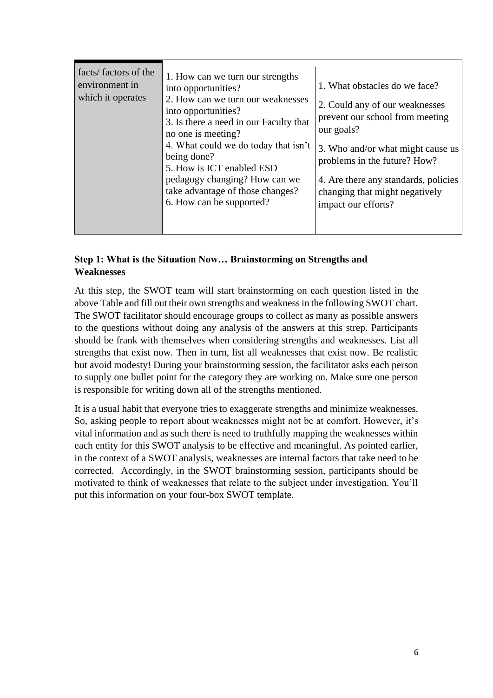| facts/factors of the<br>environment in<br>which it operates | 1. How can we turn our strengths<br>into opportunities?<br>2. How can we turn our weaknesses<br>into opportunities?<br>3. Is there a need in our Faculty that<br>no one is meeting?<br>4. What could we do today that isn't<br>being done?<br>5. How is ICT enabled ESD<br>pedagogy changing? How can we<br>take advantage of those changes?<br>6. How can be supported? | 1. What obstacles do we face?<br>2. Could any of our weaknesses<br>prevent our school from meeting<br>our goals?<br>3. Who and/or what might cause us<br>problems in the future? How?<br>4. Are there any standards, policies<br>changing that might negatively<br>impact our efforts? |
|-------------------------------------------------------------|--------------------------------------------------------------------------------------------------------------------------------------------------------------------------------------------------------------------------------------------------------------------------------------------------------------------------------------------------------------------------|----------------------------------------------------------------------------------------------------------------------------------------------------------------------------------------------------------------------------------------------------------------------------------------|
|-------------------------------------------------------------|--------------------------------------------------------------------------------------------------------------------------------------------------------------------------------------------------------------------------------------------------------------------------------------------------------------------------------------------------------------------------|----------------------------------------------------------------------------------------------------------------------------------------------------------------------------------------------------------------------------------------------------------------------------------------|

#### **Step 1: What is the Situation Now… Brainstorming on Strengths and Weaknesses**

At this step, the SWOT team will start brainstorming on each question listed in the above Table and fill out their own strengths and weakness in the following SWOT chart. The SWOT facilitator should encourage groups to collect as many as possible answers to the questions without doing any analysis of the answers at this strep. Participants should be frank with themselves when considering strengths and weaknesses. List all strengths that exist now. Then in turn, list all weaknesses that exist now. Be realistic but avoid modesty! During your brainstorming session, the facilitator asks each person to supply one bullet point for the category they are working on. Make sure one person is responsible for writing down all of the strengths mentioned.

It is a usual habit that everyone tries to exaggerate strengths and minimize weaknesses. So, asking people to report about weaknesses might not be at comfort. However, it's vital information and as such there is need to truthfully mapping the weaknesses within each entity for this SWOT analysis to be effective and meaningful. As pointed earlier, in the context of a SWOT analysis, weaknesses are internal factors that take need to be corrected. Accordingly, in the SWOT brainstorming session, participants should be motivated to think of weaknesses that relate to the subject under investigation. You'll put this information on your four-box SWOT template.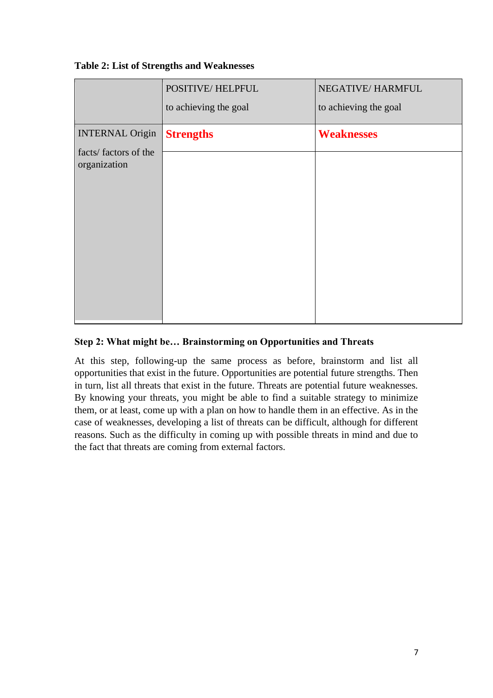#### **Table 2: List of Strengths and Weaknesses**

|                                                                | POSITIVE/HELPFUL<br>to achieving the goal | NEGATIVE/HARMFUL<br>to achieving the goal |
|----------------------------------------------------------------|-------------------------------------------|-------------------------------------------|
| <b>INTERNAL Origin</b><br>facts/factors of the<br>organization | <b>Strengths</b>                          | <b>Weaknesses</b>                         |
|                                                                |                                           |                                           |
|                                                                |                                           |                                           |

#### **Step 2: What might be… Brainstorming on Opportunities and Threats**

At this step, following-up the same process as before, brainstorm and list all opportunities that exist in the future. Opportunities are potential future strengths. Then in turn, list all threats that exist in the future. Threats are potential future weaknesses. By knowing your threats, you might be able to find a suitable strategy to minimize them, or at least, come up with a plan on how to handle them in an effective. As in the case of weaknesses, developing a list of threats can be difficult, although for different reasons. Such as the difficulty in coming up with possible threats in mind and due to the fact that threats are coming from external factors.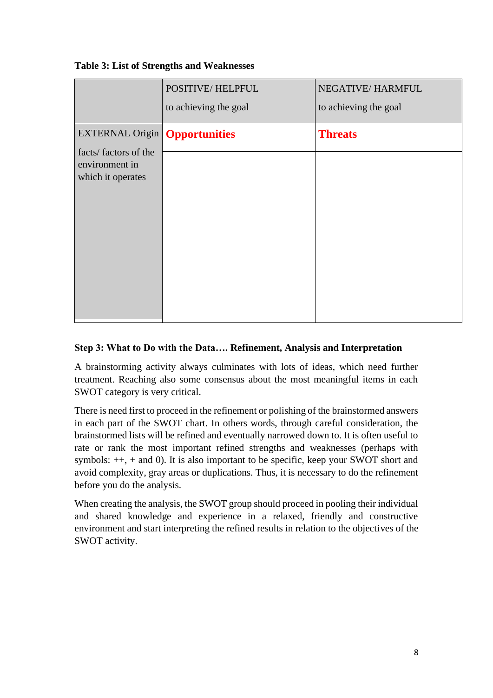#### **Table 3: List of Strengths and Weaknesses**

|                                                                                                       | POSITIVE/HELPFUL<br>to achieving the goal | NEGATIVE/HARMFUL<br>to achieving the goal |
|-------------------------------------------------------------------------------------------------------|-------------------------------------------|-------------------------------------------|
| <b>EXTERNAL Origin   Opportunities</b><br>facts/factors of the<br>environment in<br>which it operates |                                           | <b>Threats</b>                            |

#### **Step 3: What to Do with the Data…. Refinement, Analysis and Interpretation**

A brainstorming activity always culminates with lots of ideas, which need further treatment. Reaching also some consensus about the most meaningful items in each SWOT category is very critical.

There is need first to proceed in the refinement or polishing of the brainstormed answers in each part of the SWOT chart. In others words, through careful consideration, the brainstormed lists will be refined and eventually narrowed down to. It is often useful to rate or rank the most important refined strengths and weaknesses (perhaps with symbols: ++, + and 0). It is also important to be specific, keep your SWOT short and avoid complexity, gray areas or duplications. Thus, it is necessary to do the refinement before you do the analysis.

When creating the analysis, the SWOT group should proceed in pooling their individual and shared knowledge and experience in a relaxed, friendly and constructive environment and start interpreting the refined results in relation to the objectives of the SWOT activity.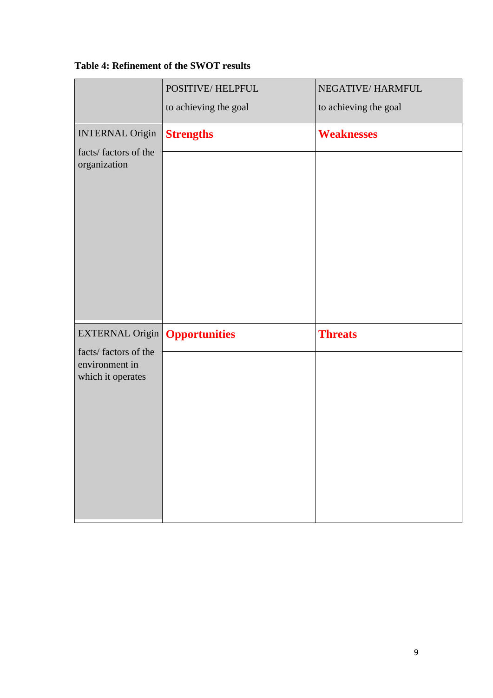## **Table 4: Refinement of the SWOT results**

|                                         | POSITIVE/HELPFUL<br>to achieving the goal | NEGATIVE/HARMFUL<br>to achieving the goal |
|-----------------------------------------|-------------------------------------------|-------------------------------------------|
|                                         |                                           |                                           |
| <b>INTERNAL Origin</b>                  | <b>Strengths</b>                          | <b>Weaknesses</b>                         |
| facts/factors of the<br>organization    |                                           |                                           |
|                                         |                                           |                                           |
| <b>EXTERNAL Origin</b>                  | <b>Opportunities</b>                      | <b>Threats</b>                            |
| facts/ factors of the<br>environment in |                                           |                                           |
| which it operates                       |                                           |                                           |
|                                         |                                           |                                           |
|                                         |                                           |                                           |
|                                         |                                           |                                           |
|                                         |                                           |                                           |
|                                         |                                           |                                           |
|                                         |                                           |                                           |